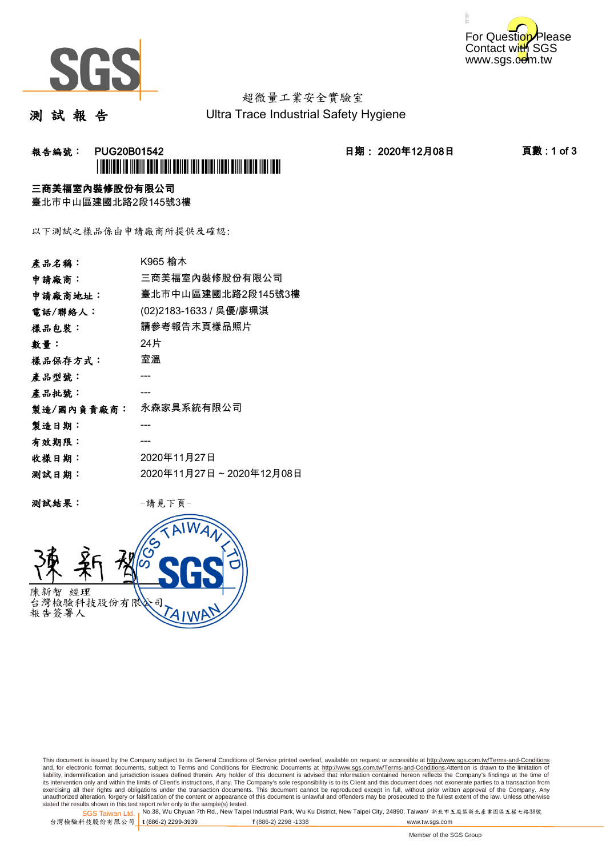



# 超微量工業安全實驗室

測 試 報 告

Ultra Trace Industrial Safety Hygiene

# 報告編號: PUG20B01542 日期: 2020年12月08日 頁數 : 1 of 3 \*PUG20B01542\*

### 三商美福室內裝修股份有限公司

臺北市中山區建國北路2段145號3樓

以下測試之樣品係由申請廠商所提供及確認:

| 產品名稱:      | K965 榆木                 |
|------------|-------------------------|
| 申請廠商:      | 三商美福室內裝修股份有限公司          |
| 申請廠商地址:    | 臺北市中山區建國北路2段145號3樓      |
| 電話/聯絡人:    | (02)2183-1633 / 吳優/廖珮淇  |
| 樣品包裝:      | 請參考報告末頁樣品照片             |
| 數量:        | 24片                     |
| 樣品保存方式:    | 室溫                      |
| 產品型號:      |                         |
| 產品批號:      |                         |
| 製造/國內負責廠商: | 永森家具系統有限公司              |
| 製造日期:      |                         |
| 有效期限:      |                         |
| 收樣日期:      | 2020年11月27日             |
| 测試日期:      | 2020年11月27日~2020年12月08日 |
|            |                         |

测試結果: 一請見下頁



This document is issued by the Company subject to its General Conditions of Service printed overleaf, available on request or accessible at http://www.sgs.com.tw/Terms-and-Conditions and, for electronic format documents, subject to Terms and Conditions for Electronic Documents at <u>http://www.sgs.com.tw/Terms-and-Conditions</u>.Attention is drawn to the limitation of<br>liability, indemnification and jurisdic exercising all their rights and obligations under the transaction documents. This document cannot be reproduced except in full, without prior written approval of the Company. Any<br>unauthorized alteration, forgery or falsifi

SGS Taiwan Ltd. 1 stated the results shown in this test report refer only to the sample(s) tested.<br>Stated the results shown in this test report refer only to the sample(s) tested.

台灣檢驗科技股份有限公司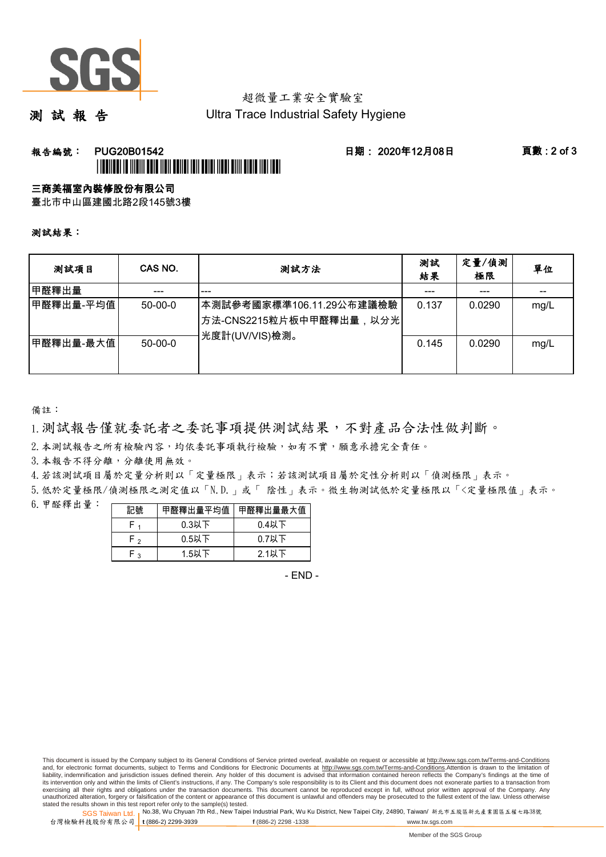

# 超微量工業安全實驗室

測 試 報 告

Ultra Trace Industrial Safety Hygiene

## **報告編號: PUG20B01542 日期: 2020年12月08日 頁數:2 of 3** \*PUG20B01542\*

### 三商美福室內裝修股份有限公司

臺北市中山區建國北路2段145號3樓

測試結果:

| 测試項目      | CAS NO.   | 測試方法                                                                                | 測試<br>結果 | 定量/偵測<br>極限 | 單位   |
|-----------|-----------|-------------------------------------------------------------------------------------|----------|-------------|------|
| 甲醛釋出量     |           | ---                                                                                 |          | ---         | --   |
| 甲醛釋出量-平均值 | $50-00-0$ | 本測試參考國家標準106.11.29公布建議檢驗<br><sup> </sup> 方法-CNS2215粒片板中甲醛釋出量,以分光 <br>光度計(UV/VIS)檢測。 | 0.137    | 0.0290      | mg/L |
| 甲醛釋出量-最大值 | $50-00-0$ |                                                                                     | 0.145    | 0.0290      | mg/L |

備註:

1.測試報告僅就委託者之委託事項提供測試結果,不對產品合法性做判斷。

2.本測試報告之所有檢驗內容,均依委託事項執行檢驗,如有不實,願意承擔完全責任。

3. 本報告不得分離,分離使用無效。

4.若該測試項目屬於定量分析則以「定量極限」表示;若該測試項目屬於定性分析則以「偵測極限」表示。

5.低於定量極限/偵測極限之測定值以「N.D.」或「 陰性」表示。微生物測試低於定量極限以「<定量極限值」表示。

6.甲醛釋出量:

| 記號  | 甲醛釋出量平均值丨 | 甲醛釋出量最大值 |  |  |
|-----|-----------|----------|--|--|
|     | $0.3$ 以下  | $0.4$ 以下 |  |  |
| ົ່າ | $0.5$ 以下  | $0.7$ 以下 |  |  |
| ົ   | $1.5$ 以下  | $2.1$ 以下 |  |  |

- END -

This document is issued by the Company subject to its General Conditions of Service printed overleaf, available on request or accessible at http://www.sgs.com.tw/Terms-and-Conditions and, for electronic format documents, subject to Terms and Conditions for Electronic Documents at http://www.sgs.com.tw/Terms-and-Conditions.Attention is drawn to the limitation of liability, indemnification and jurisdiction issues defined therein. Any holder of this document is advised that information contained hereon reflects the Company's findings at the time of<br>its intervention only and within t exercising all their rights and obligations under the transaction documents. This document cannot be reproduced except in full, without prior written approval of the Company. Any<br>unauthorized alteration, forgery or falsifi

SGS Taiwan Ltd. 1 stated the results shown in this test report refer only to the sample(s) tested.<br>Stated the results shown in this test report refer only to the sample(s) tested.

台灣檢驗科技股份有限公司

**t** (886-2) 2299-3939 **f** (886-2) 2298 -1338 www.tw.sgs.com